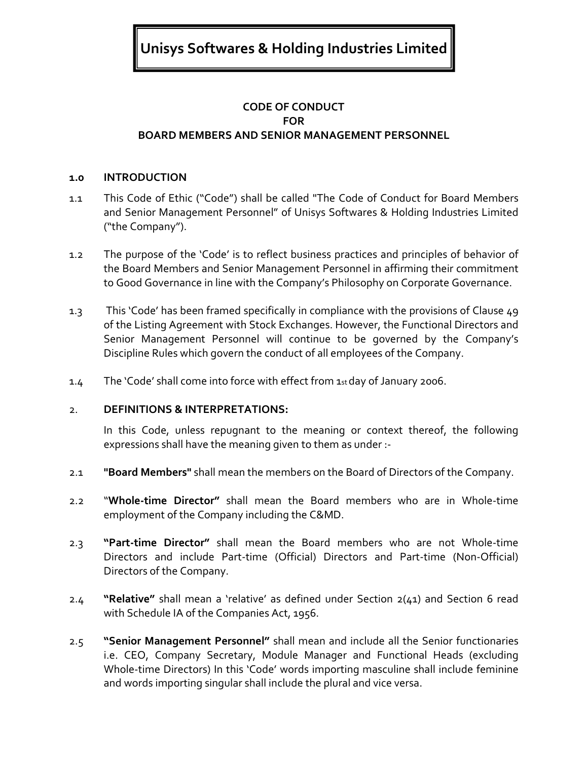**Unisys Softwares & Holding Industries Limited** 

# **CODE OF CONDUCT FOR BOARD MEMBERS AND SENIOR MANAGEMENT PERSONNEL**

### **1.0 INTRODUCTION**

- 1.1 This Code of Ethic ("Code") shall be called "The Code of Conduct for Board Members and Senior Management Personnel" of Unisys Softwares & Holding Industries Limited ("the Company").
- 1.2 The purpose of the 'Code' is to reflect business practices and principles of behavior of the Board Members and Senior Management Personnel in affirming their commitment to Good Governance in line with the Company's Philosophy on Corporate Governance.
- 1.3 This 'Code' has been framed specifically in compliance with the provisions of Clause 49 of the Listing Agreement with Stock Exchanges. However, the Functional Directors and Senior Management Personnel will continue to be governed by the Company's Discipline Rules which govern the conduct of all employees of the Company.
- 1.4 The 'Code' shall come into force with effect from 1st day of January 2006.

#### 2. **DEFINITIONS & INTERPRETATIONS:**

In this Code, unless repugnant to the meaning or context thereof, the following expressions shall have the meaning given to them as under :-

- 2.1 **"Board Members"** shall mean the members on the Board of Directors of the Company.
- 2.2 "**Whole-time Director"** shall mean the Board members who are in Whole-time employment of the Company including the C&MD.
- 2.3 **"Part-time Director"** shall mean the Board members who are not Whole-time Directors and include Part-time (Official) Directors and Part-time (Non-Official) Directors of the Company.
- 2.4 **"Relative"** shall mean a 'relative' as defined under Section 2(41) and Section 6 read with Schedule IA of the Companies Act, 1956.
- 2.5 **"Senior Management Personnel"** shall mean and include all the Senior functionaries i.e. CEO, Company Secretary, Module Manager and Functional Heads (excluding Whole-time Directors) In this 'Code' words importing masculine shall include feminine and words importing singular shall include the plural and vice versa.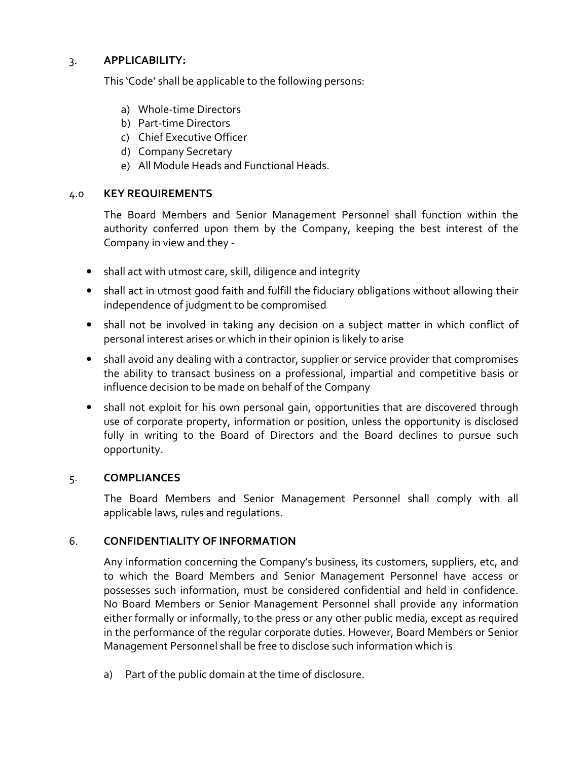## 3. **APPLICABILITY:**

This 'Code' shall be applicable to the following persons:

- a) Whole-time Directors
- b) Part-time Directors
- c) Chief Executive Officer
- d) Company Secretary
- e) All Module Heads and Functional Heads.

## 4.0 **KEY REQUIREMENTS**

The Board Members and Senior Management Personnel shall function within the authority conferred upon them by the Company, keeping the best interest of the Company in view and they -

- shall act with utmost care, skill, diligence and integrity
- shall act in utmost good faith and fulfill the fiduciary obligations without allowing their independence of judgment to be compromised
- shall not be involved in taking any decision on a subject matter in which conflict of personal interest arises or which in their opinion is likely to arise
- shall avoid any dealing with a contractor, supplier or service provider that compromises the ability to transact business on a professional, impartial and competitive basis or influence decision to be made on behalf of the Company
- shall not exploit for his own personal gain, opportunities that are discovered through use of corporate property, information or position, unless the opportunity is disclosed fully in writing to the Board of Directors and the Board declines to pursue such opportunity.

## 5. **COMPLIANCES**

The Board Members and Senior Management Personnel shall comply with all applicable laws, rules and regulations.

## 6. **CONFIDENTIALITY OF INFORMATION**

Any information concerning the Company's business, its customers, suppliers, etc, and to which the Board Members and Senior Management Personnel have access or possesses such information, must be considered confidential and held in confidence. No Board Members or Senior Management Personnel shall provide any information either formally or informally, to the press or any other public media, except as required in the performance of the regular corporate duties. However, Board Members or Senior Management Personnel shall be free to disclose such information which is

a) Part of the public domain at the time of disclosure.